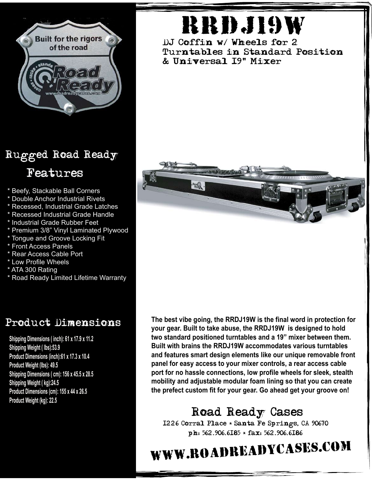

### Rugged Road Ready Features

- \* Beefy, Stackable Ball Corners
- \* Double Anchor Industrial Rivets
- \* Recessed, Industrial Grade Latches
- \* Recessed Industrial Grade Handle
- \* Industrial Grade Rubber Feet
- \* Premium 3/8" Vinyl Laminated Plywood
- \* Tongue and Groove Locking Fit
- \* Front Access Panels
- \* Rear Access Cable Port
- \* Low Profile Wheels
- \* ATA 300 Rating
- \* Road Ready Limited Lifetime Warranty

#### Product Dimensions

**Shipping Dimensions ( inch): 61 x 17.9 x 11.2 Shipping Weight ( lbs):53.9 Product Dimensions (inch):61 x 17.3 x 10.4 Product Weight (lbs): 49.5 Shipping Dimensions ( cm): 156 x 45.5 x 28.5 Shipping Weight ( kg):24.5 Product Dimensions (cm): 155 x 44 x 26.5 Product Weight (kg): 22.5**

# rrdj19w

DJ Coffin w/ Wheels for 2 Turntables in Standard Position & Universal 19" Mixer



**The best vibe going, the RRDJ19W is the final word in protection for your gear. Built to take abuse, the RRDJ19W is designed to hold two standard positioned turntables and a 19" mixer between them. Built with brains the RRDJ19W accommodates various turntables and features smart design elements like our unique removable front panel for easy access to your mixer controls, a rear access cable port for no hassle connections, low profile wheels for sleek, stealth mobility and adjustable modular foam lining so that you can create the prefect custom fit for your gear. Go ahead get your groove on!**

## Road Ready Cases

1226 Corral Place \* Santa Fe Springs, CA 90670 ph: 562.906.6185 \* fax: 562.906.6186

# www.roadreadycases.com